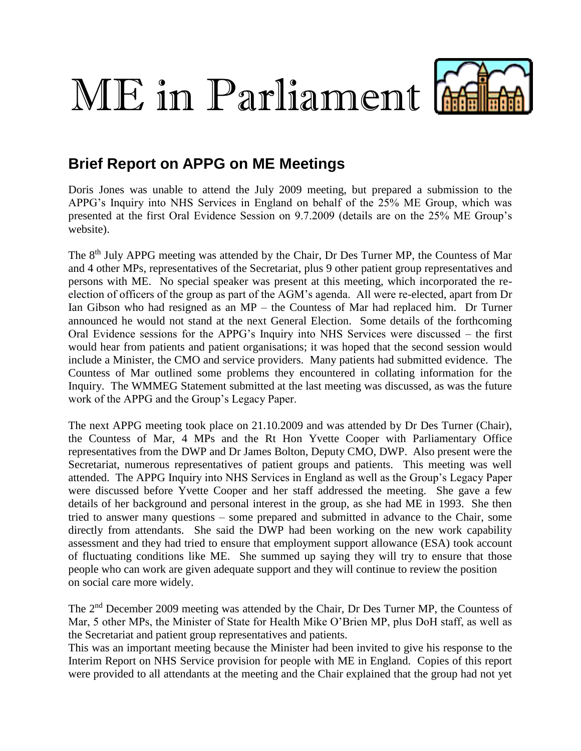## ME in Parliament



## **Brief Report on APPG on ME Meetings**

Doris Jones was unable to attend the July 2009 meeting, but prepared a submission to the APPG's Inquiry into NHS Services in England on behalf of the 25% ME Group, which was presented at the first Oral Evidence Session on 9.7.2009 (details are on the 25% ME Group's website).

The 8<sup>th</sup> July APPG meeting was attended by the Chair, Dr Des Turner MP, the Countess of Mar and 4 other MPs, representatives of the Secretariat, plus 9 other patient group representatives and persons with ME. No special speaker was present at this meeting, which incorporated the reelection of officers of the group as part of the AGM's agenda. All were re-elected, apart from Dr Ian Gibson who had resigned as an MP – the Countess of Mar had replaced him. Dr Turner announced he would not stand at the next General Election. Some details of the forthcoming Oral Evidence sessions for the APPG's Inquiry into NHS Services were discussed – the first would hear from patients and patient organisations; it was hoped that the second session would include a Minister, the CMO and service providers. Many patients had submitted evidence. The Countess of Mar outlined some problems they encountered in collating information for the Inquiry. The WMMEG Statement submitted at the last meeting was discussed, as was the future work of the APPG and the Group's Legacy Paper.

The next APPG meeting took place on 21.10.2009 and was attended by Dr Des Turner (Chair), the Countess of Mar, 4 MPs and the Rt Hon Yvette Cooper with Parliamentary Office representatives from the DWP and Dr James Bolton, Deputy CMO, DWP. Also present were the Secretariat, numerous representatives of patient groups and patients. This meeting was well attended. The APPG Inquiry into NHS Services in England as well as the Group's Legacy Paper were discussed before Yvette Cooper and her staff addressed the meeting. She gave a few details of her background and personal interest in the group, as she had ME in 1993. She then tried to answer many questions – some prepared and submitted in advance to the Chair, some directly from attendants. She said the DWP had been working on the new work capability assessment and they had tried to ensure that employment support allowance (ESA) took account of fluctuating conditions like ME. She summed up saying they will try to ensure that those people who can work are given adequate support and they will continue to review the position on social care more widely.

The 2nd December 2009 meeting was attended by the Chair, Dr Des Turner MP, the Countess of Mar, 5 other MPs, the Minister of State for Health Mike O'Brien MP, plus DoH staff, as well as the Secretariat and patient group representatives and patients.

This was an important meeting because the Minister had been invited to give his response to the Interim Report on NHS Service provision for people with ME in England. Copies of this report were provided to all attendants at the meeting and the Chair explained that the group had not yet